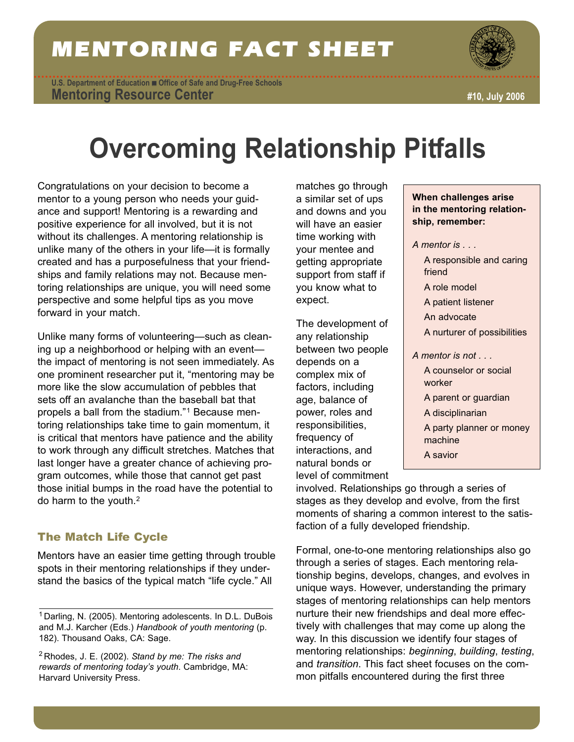## MENTORING FACT SHEET

**Mentoring Resource Center U.S. Department of Education** ■ **Office of Safe and Drug-Free Schools**



**#10, July 2006**

# **Overcoming Relationship Pitfalls**

Congratulations on your decision to become a mentor to a young person who needs your guidance and support! Mentoring is a rewarding and positive experience for all involved, but it is not without its challenges. A mentoring relationship is unlike many of the others in your life—it is formally created and has a purposefulness that your friendships and family relations may not. Because mentoring relationships are unique, you will need some perspective and some helpful tips as you move forward in your match.

Unlike many forms of volunteering—such as cleaning up a neighborhood or helping with an event the impact of mentoring is not seen immediately. As one prominent researcher put it, "mentoring may be more like the slow accumulation of pebbles that sets off an avalanche than the baseball bat that propels a ball from the stadium."1 Because mentoring relationships take time to gain momentum, it is critical that mentors have patience and the ability to work through any difficult stretches. Matches that last longer have a greater chance of achieving program outcomes, while those that cannot get past those initial bumps in the road have the potential to do harm to the youth.2

## The Match Life Cycle

Mentors have an easier time getting through trouble spots in their mentoring relationships if they understand the basics of the typical match "life cycle." All

<sup>2</sup> Rhodes, J. E. (2002). *Stand by me: The risks and rewards of mentoring today's youth*. Cambridge, MA: Harvard University Press.

matches go through a similar set of ups and downs and you will have an easier time working with your mentee and getting appropriate support from staff if you know what to expect.

The development of any relationship between two people depends on a complex mix of factors, including age, balance of power, roles and responsibilities, frequency of interactions, and natural bonds or level of commitment

- **When challenges arise in the mentoring relationship, remember:**
- *A mentor is . . .* 
	- A responsible and caring friend
	- A role model
	- A patient listener
	- An advocate
	- A nurturer of possibilities
- *A mentor is not . . .* 
	- A counselor or social worker A parent or guardian
	- A disciplinarian
	- A party planner or money machine
	- A savior

involved. Relationships go through a series of stages as they develop and evolve, from the first moments of sharing a common interest to the satisfaction of a fully developed friendship.

Formal, one-to-one mentoring relationships also go through a series of stages. Each mentoring relationship begins, develops, changes, and evolves in unique ways. However, understanding the primary stages of mentoring relationships can help mentors nurture their new friendships and deal more effectively with challenges that may come up along the way. In this discussion we identify four stages of mentoring relationships: *beginning*, *building*, *testing*, and *transition*. This fact sheet focuses on the common pitfalls encountered during the first three

<sup>&</sup>lt;sup>1</sup> Darling, N. (2005). Mentoring adolescents. In D.L. DuBois and M.J. Karcher (Eds.) *Handbook of youth mentoring* (p. 182). Thousand Oaks, CA: Sage.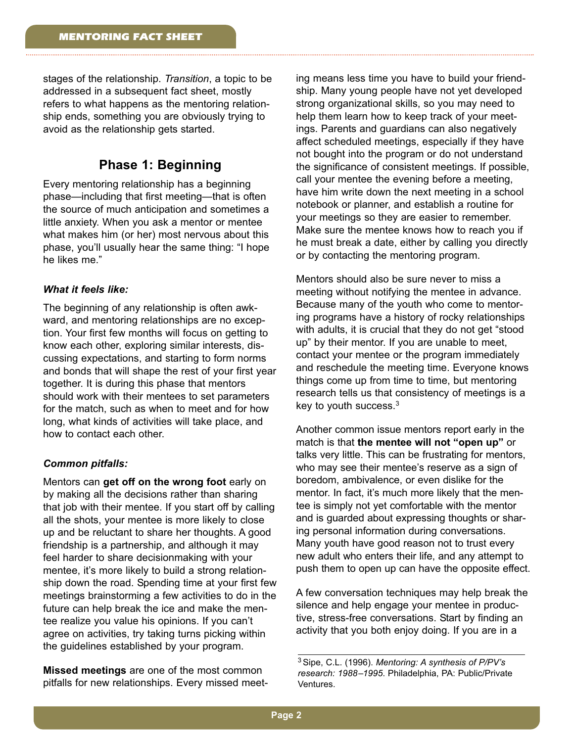stages of the relationship. *Transition*, a topic to be addressed in a subsequent fact sheet, mostly refers to what happens as the mentoring relationship ends, something you are obviously trying to avoid as the relationship gets started.

## **Phase 1: Beginning**

Every mentoring relationship has a beginning phase—including that first meeting—that is often the source of much anticipation and sometimes a little anxiety. When you ask a mentor or mentee what makes him (or her) most nervous about this phase, you'll usually hear the same thing: "I hope he likes me."

#### *What it feels like:*

The beginning of any relationship is often awkward, and mentoring relationships are no exception. Your first few months will focus on getting to know each other, exploring similar interests, discussing expectations, and starting to form norms and bonds that will shape the rest of your first year together. It is during this phase that mentors should work with their mentees to set parameters for the match, such as when to meet and for how long, what kinds of activities will take place, and how to contact each other.

#### *Common pitfalls:*

Mentors can **get off on the wrong foot** early on by making all the decisions rather than sharing that job with their mentee. If you start off by calling all the shots, your mentee is more likely to close up and be reluctant to share her thoughts. A good friendship is a partnership, and although it may feel harder to share decisionmaking with your mentee, it's more likely to build a strong relationship down the road. Spending time at your first few meetings brainstorming a few activities to do in the future can help break the ice and make the mentee realize you value his opinions. If you can't agree on activities, try taking turns picking within the guidelines established by your program.

**Missed meetings** are one of the most common pitfalls for new relationships. Every missed meeting means less time you have to build your friendship. Many young people have not yet developed strong organizational skills, so you may need to help them learn how to keep track of your meetings. Parents and guardians can also negatively affect scheduled meetings, especially if they have not bought into the program or do not understand the significance of consistent meetings. If possible, call your mentee the evening before a meeting, have him write down the next meeting in a school notebook or planner, and establish a routine for your meetings so they are easier to remember. Make sure the mentee knows how to reach you if he must break a date, either by calling you directly or by contacting the mentoring program.

Mentors should also be sure never to miss a meeting without notifying the mentee in advance. Because many of the youth who come to mentoring programs have a history of rocky relationships with adults, it is crucial that they do not get "stood up" by their mentor. If you are unable to meet, contact your mentee or the program immediately and reschedule the meeting time. Everyone knows things come up from time to time, but mentoring research tells us that consistency of meetings is a key to youth success.3

Another common issue mentors report early in the match is that **the mentee will not "open up"** or talks very little. This can be frustrating for mentors, who may see their mentee's reserve as a sign of boredom, ambivalence, or even dislike for the mentor. In fact, it's much more likely that the mentee is simply not yet comfortable with the mentor and is guarded about expressing thoughts or sharing personal information during conversations. Many youth have good reason not to trust every new adult who enters their life, and any attempt to push them to open up can have the opposite effect.

A few conversation techniques may help break the silence and help engage your mentee in productive, stress-free conversations. Start by finding an activity that you both enjoy doing. If you are in a

<sup>3</sup>Sipe, C.L. (1996). *Mentoring: A synthesis of P/PV's research: 1988–1995*. Philadelphia, PA: Public/Private Ventures.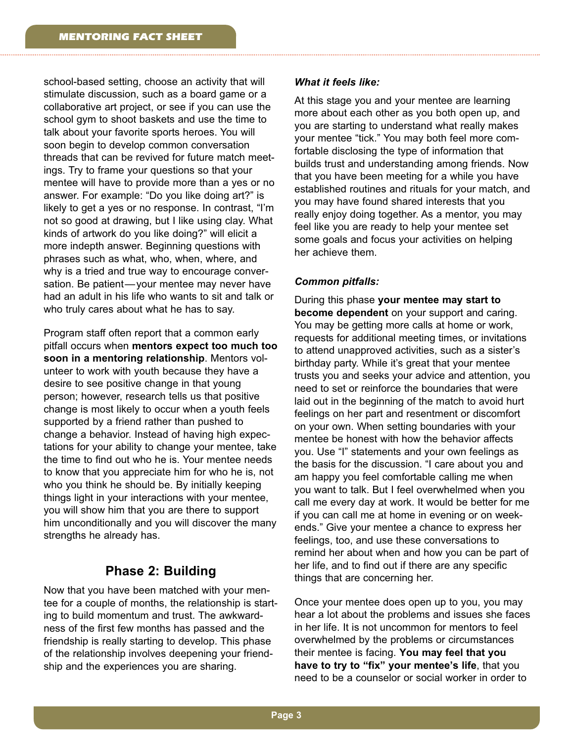school-based setting, choose an activity that will stimulate discussion, such as a board game or a collaborative art project, or see if you can use the school gym to shoot baskets and use the time to talk about your favorite sports heroes. You will soon begin to develop common conversation threads that can be revived for future match meetings. Try to frame your questions so that your mentee will have to provide more than a yes or no answer. For example: "Do you like doing art?" is likely to get a yes or no response. In contrast, "I'm not so good at drawing, but I like using clay. What kinds of artwork do you like doing?" will elicit a more indepth answer. Beginning questions with phrases such as what, who, when, where, and why is a tried and true way to encourage conversation. Be patient—your mentee may never have had an adult in his life who wants to sit and talk or who truly cares about what he has to say.

Program staff often report that a common early pitfall occurs when **mentors expect too much too soon in a mentoring relationship**. Mentors volunteer to work with youth because they have a desire to see positive change in that young person; however, research tells us that positive change is most likely to occur when a youth feels supported by a friend rather than pushed to change a behavior. Instead of having high expectations for your ability to change your mentee, take the time to find out who he is. Your mentee needs to know that you appreciate him for who he is, not who you think he should be. By initially keeping things light in your interactions with your mentee, you will show him that you are there to support him unconditionally and you will discover the many strengths he already has.

## **Phase 2: Building**

Now that you have been matched with your mentee for a couple of months, the relationship is starting to build momentum and trust. The awkwardness of the first few months has passed and the friendship is really starting to develop. This phase of the relationship involves deepening your friendship and the experiences you are sharing.

#### *What it feels like:*

At this stage you and your mentee are learning more about each other as you both open up, and you are starting to understand what really makes your mentee "tick." You may both feel more comfortable disclosing the type of information that builds trust and understanding among friends. Now that you have been meeting for a while you have established routines and rituals for your match, and you may have found shared interests that you really enjoy doing together. As a mentor, you may feel like you are ready to help your mentee set some goals and focus your activities on helping her achieve them.

#### *Common pitfalls:*

During this phase **your mentee may start to become dependent** on your support and caring. You may be getting more calls at home or work, requests for additional meeting times, or invitations to attend unapproved activities, such as a sister's birthday party. While it's great that your mentee trusts you and seeks your advice and attention, you need to set or reinforce the boundaries that were laid out in the beginning of the match to avoid hurt feelings on her part and resentment or discomfort on your own. When setting boundaries with your mentee be honest with how the behavior affects you. Use "I" statements and your own feelings as the basis for the discussion. "I care about you and am happy you feel comfortable calling me when you want to talk. But I feel overwhelmed when you call me every day at work. It would be better for me if you can call me at home in evening or on weekends." Give your mentee a chance to express her feelings, too, and use these conversations to remind her about when and how you can be part of her life, and to find out if there are any specific things that are concerning her.

Once your mentee does open up to you, you may hear a lot about the problems and issues she faces in her life. It is not uncommon for mentors to feel overwhelmed by the problems or circumstances their mentee is facing. **You may feel that you have to try to "fix" your mentee's life**, that you need to be a counselor or social worker in order to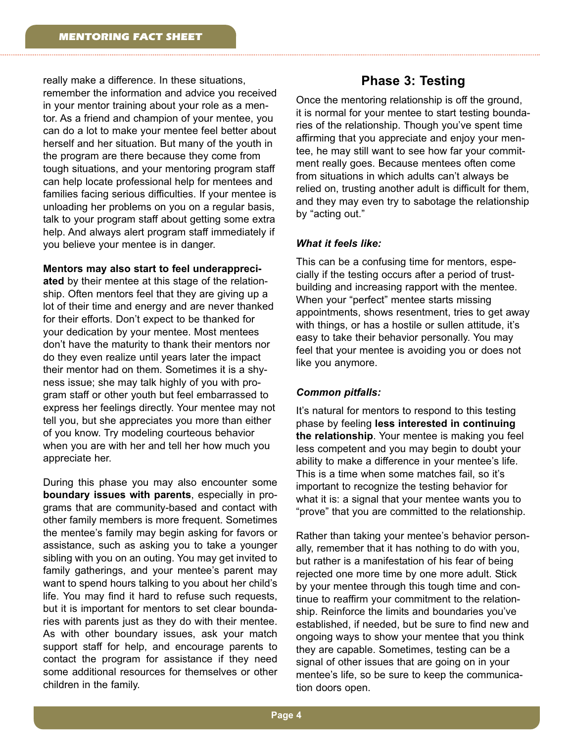really make a difference. In these situations, remember the information and advice you received in your mentor training about your role as a mentor. As a friend and champion of your mentee, you can do a lot to make your mentee feel better about herself and her situation. But many of the youth in the program are there because they come from tough situations, and your mentoring program staff can help locate professional help for mentees and families facing serious difficulties. If your mentee is unloading her problems on you on a regular basis, talk to your program staff about getting some extra help. And always alert program staff immediately if you believe your mentee is in danger.

#### **Mentors may also start to feel underappreci-**

**ated** by their mentee at this stage of the relationship. Often mentors feel that they are giving up a lot of their time and energy and are never thanked for their efforts. Don't expect to be thanked for your dedication by your mentee. Most mentees don't have the maturity to thank their mentors nor do they even realize until years later the impact their mentor had on them. Sometimes it is a shyness issue; she may talk highly of you with program staff or other youth but feel embarrassed to express her feelings directly. Your mentee may not tell you, but she appreciates you more than either of you know. Try modeling courteous behavior when you are with her and tell her how much you appreciate her.

During this phase you may also encounter some **boundary issues with parents**, especially in programs that are community-based and contact with other family members is more frequent. Sometimes the mentee's family may begin asking for favors or assistance, such as asking you to take a younger sibling with you on an outing. You may get invited to family gatherings, and your mentee's parent may want to spend hours talking to you about her child's life. You may find it hard to refuse such requests, but it is important for mentors to set clear boundaries with parents just as they do with their mentee. As with other boundary issues, ask your match support staff for help, and encourage parents to contact the program for assistance if they need some additional resources for themselves or other children in the family.

### **Phase 3: Testing**

Once the mentoring relationship is off the ground, it is normal for your mentee to start testing boundaries of the relationship. Though you've spent time affirming that you appreciate and enjoy your mentee, he may still want to see how far your commitment really goes. Because mentees often come from situations in which adults can't always be relied on, trusting another adult is difficult for them, and they may even try to sabotage the relationship by "acting out."

#### *What it feels like:*

This can be a confusing time for mentors, especially if the testing occurs after a period of trustbuilding and increasing rapport with the mentee. When your "perfect" mentee starts missing appointments, shows resentment, tries to get away with things, or has a hostile or sullen attitude, it's easy to take their behavior personally. You may feel that your mentee is avoiding you or does not like you anymore.

#### *Common pitfalls:*

It's natural for mentors to respond to this testing phase by feeling **less interested in continuing the relationship**. Your mentee is making you feel less competent and you may begin to doubt your ability to make a difference in your mentee's life. This is a time when some matches fail, so it's important to recognize the testing behavior for what it is: a signal that your mentee wants you to "prove" that you are committed to the relationship.

Rather than taking your mentee's behavior personally, remember that it has nothing to do with you, but rather is a manifestation of his fear of being rejected one more time by one more adult. Stick by your mentee through this tough time and continue to reaffirm your commitment to the relationship. Reinforce the limits and boundaries you've established, if needed, but be sure to find new and ongoing ways to show your mentee that you think they are capable. Sometimes, testing can be a signal of other issues that are going on in your mentee's life, so be sure to keep the communication doors open.